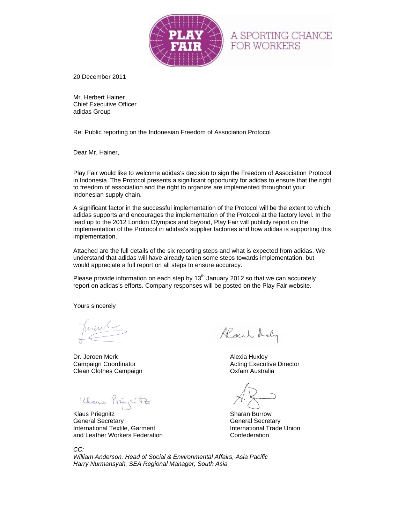

20 December 2011

Mr. Herbert Hainer Chief Executive Officer adidas Group

Re: Public reporting on the Indonesian Freedom of Association Protocol

Dear Mr. Hainer,

Play Fair would like to welcome adidas's decision to sign the Freedom of Association Protocol in Indonesia. The Protocol presents a significant opportunity for adidas to ensure that the right to freedom of association and the right to organize are implemented throughout your Indonesian supply chain.

A significant factor in the successful implementation of the Protocol will be the extent to which adidas supports and encourages the implementation of the Protocol at the factory level. In the lead up to the 2012 London Olympics and beyond, Play Fair will publicly report on the implementation of the Protocol in adidas's supplier factories and how adidas is supporting this implementation.

Attached are the full details of the six reporting steps and what is expected from adidas. We understand that adidas will have already taken some steps towards implementation, but would appreciate a full report on all steps to ensure accuracy.

Please provide information on each step by  $13<sup>th</sup>$  January 2012 so that we can accurately report on adidas's efforts. Company responses will be posted on the Play Fair website.

Yours sincerely

Dr. Jeroen Merk **Alexia Huxley** Clean Clothes Campaign Clean Clothes Campaign

Klaus Priegnitz<br>Klaus Priegnitz Sharan Burrow<br>General Secretary General Secret

International Textile, Garment International Trade Union and Leather Workers Federation **Confederation** 

Alach Andy

**Campaign Coordinator Campaign Coordinator Campaign Coordinator Campaign Coordinator Campaign Coordinator Campa** 

A SPORTING CHANCE

FOR WORKERS

**General Secretary** 

*CC:* 

*William Anderson, Head of Social & Environmental Affairs, Asia Pacific Harry Nurmansyah, SEA Regional Manager, South Asia*